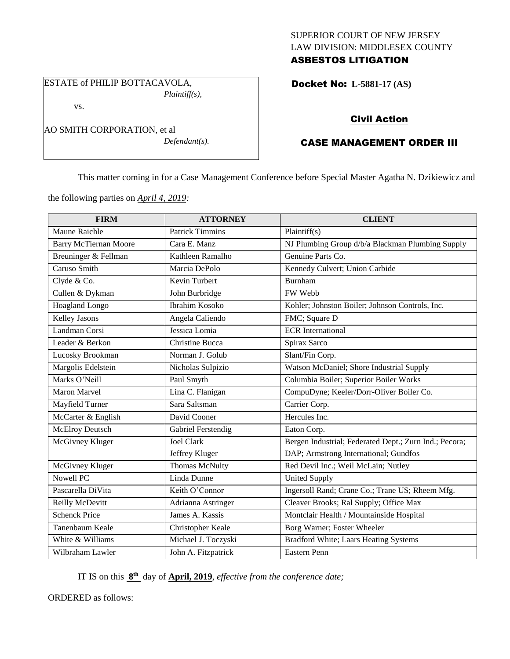## SUPERIOR COURT OF NEW JERSEY LAW DIVISION: MIDDLESEX COUNTY ASBESTOS LITIGATION

Docket No: **L-5881-17 (AS)** 

## Civil Action

# CASE MANAGEMENT ORDER III

This matter coming in for a Case Management Conference before Special Master Agatha N. Dzikiewicz and

the following parties on *April 4, 2019:*

ESTATE of PHILIP BOTTACAVOLA,

AO SMITH CORPORATION, et al

vs.

*Plaintiff(s),*

*Defendant(s).*

| <b>FIRM</b>                  | <b>ATTORNEY</b>        | <b>CLIENT</b>                                          |
|------------------------------|------------------------|--------------------------------------------------------|
| Maune Raichle                | <b>Patrick Timmins</b> | Plaintiff(s)                                           |
| <b>Barry McTiernan Moore</b> | Cara E. Manz           | NJ Plumbing Group d/b/a Blackman Plumbing Supply       |
| Breuninger & Fellman         | Kathleen Ramalho       | Genuine Parts Co.                                      |
| Caruso Smith                 | Marcia DePolo          | Kennedy Culvert; Union Carbide                         |
| Clyde & Co.                  | Kevin Turbert          | Burnham                                                |
| Cullen & Dykman              | John Burbridge         | FW Webb                                                |
| Hoagland Longo               | <b>Ibrahim Kosoko</b>  | Kohler; Johnston Boiler; Johnson Controls, Inc.        |
| <b>Kelley Jasons</b>         | Angela Caliendo        | FMC; Square D                                          |
| Landman Corsi                | Jessica Lomia          | <b>ECR</b> International                               |
| Leader & Berkon              | Christine Bucca        | Spirax Sarco                                           |
| Lucosky Brookman             | Norman J. Golub        | Slant/Fin Corp.                                        |
| Margolis Edelstein           | Nicholas Sulpizio      | Watson McDaniel; Shore Industrial Supply               |
| Marks O'Neill                | Paul Smyth             | Columbia Boiler; Superior Boiler Works                 |
| <b>Maron Marvel</b>          | Lina C. Flanigan       | CompuDyne; Keeler/Dorr-Oliver Boiler Co.               |
| Mayfield Turner              | Sara Saltsman          | Carrier Corp.                                          |
| McCarter & English           | David Cooner           | Hercules Inc.                                          |
| <b>McElroy Deutsch</b>       | Gabriel Ferstendig     | Eaton Corp.                                            |
| McGivney Kluger              | <b>Joel Clark</b>      | Bergen Industrial; Federated Dept.; Zurn Ind.; Pecora; |
|                              | Jeffrey Kluger         | DAP; Armstrong International; Gundfos                  |
| McGivney Kluger              | <b>Thomas McNulty</b>  | Red Devil Inc.; Weil McLain; Nutley                    |
| Nowell PC                    | Linda Dunne            | <b>United Supply</b>                                   |
| Pascarella DiVita            | Keith O'Connor         | Ingersoll Rand; Crane Co.; Trane US; Rheem Mfg.        |
| Reilly McDevitt              | Adrianna Astringer     | Cleaver Brooks; Ral Supply; Office Max                 |
| <b>Schenck Price</b>         | James A. Kassis        | Montclair Health / Mountainside Hospital               |
| Tanenbaum Keale              | Christopher Keale      | Borg Warner; Foster Wheeler                            |
| White & Williams             | Michael J. Toczyski    | <b>Bradford White; Laars Heating Systems</b>           |
| Wilbraham Lawler             | John A. Fitzpatrick    | <b>Eastern Penn</b>                                    |

IT IS on this  $8<sup>th</sup>$  day of **April, 2019**, *effective from the conference date*;

ORDERED as follows: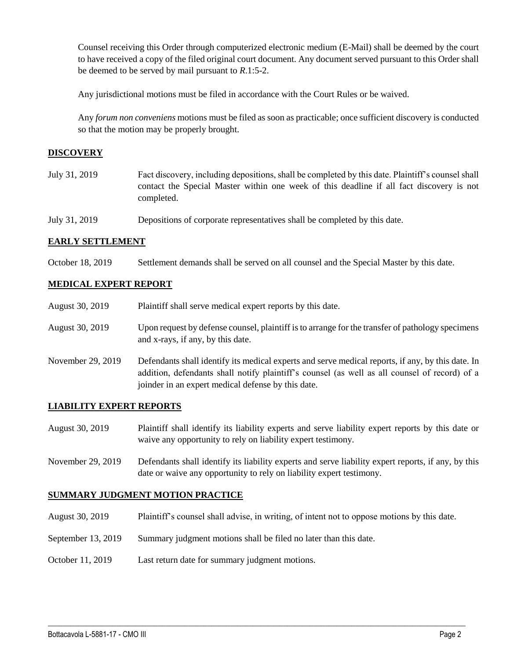Counsel receiving this Order through computerized electronic medium (E-Mail) shall be deemed by the court to have received a copy of the filed original court document. Any document served pursuant to this Order shall be deemed to be served by mail pursuant to *R*.1:5-2.

Any jurisdictional motions must be filed in accordance with the Court Rules or be waived.

Any *forum non conveniens* motions must be filed as soon as practicable; once sufficient discovery is conducted so that the motion may be properly brought.

## **DISCOVERY**

- July 31, 2019 Fact discovery, including depositions, shall be completed by this date. Plaintiff's counsel shall contact the Special Master within one week of this deadline if all fact discovery is not completed.
- July 31, 2019 Depositions of corporate representatives shall be completed by this date.

#### **EARLY SETTLEMENT**

October 18, 2019 Settlement demands shall be served on all counsel and the Special Master by this date.

## **MEDICAL EXPERT REPORT**

| August 30, 2019   | Plaintiff shall serve medical expert reports by this date.                                                                                                                                                                                               |
|-------------------|----------------------------------------------------------------------------------------------------------------------------------------------------------------------------------------------------------------------------------------------------------|
| August 30, 2019   | Upon request by defense counsel, plaintiff is to arrange for the transfer of pathology specimens<br>and x-rays, if any, by this date.                                                                                                                    |
| November 29, 2019 | Defendants shall identify its medical experts and serve medical reports, if any, by this date. In<br>addition, defendants shall notify plaintiff's counsel (as well as all counsel of record) of a<br>joinder in an expert medical defense by this date. |

#### **LIABILITY EXPERT REPORTS**

- August 30, 2019 Plaintiff shall identify its liability experts and serve liability expert reports by this date or waive any opportunity to rely on liability expert testimony.
- November 29, 2019 Defendants shall identify its liability experts and serve liability expert reports, if any, by this date or waive any opportunity to rely on liability expert testimony.

### **SUMMARY JUDGMENT MOTION PRACTICE**

August 30, 2019 Plaintiff's counsel shall advise, in writing, of intent not to oppose motions by this date.

 $\_$  , and the set of the set of the set of the set of the set of the set of the set of the set of the set of the set of the set of the set of the set of the set of the set of the set of the set of the set of the set of th

- September 13, 2019 Summary judgment motions shall be filed no later than this date.
- October 11, 2019 Last return date for summary judgment motions.